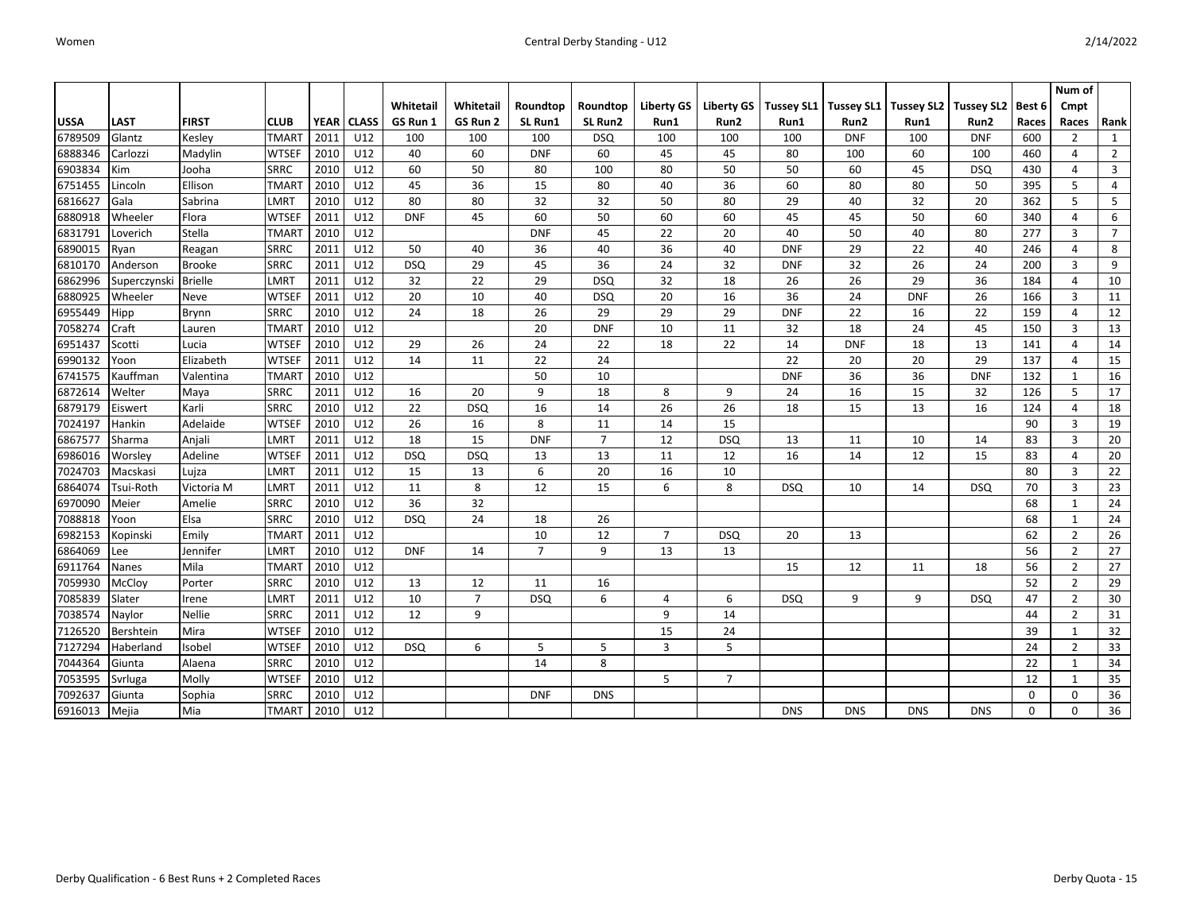|             |              |                |                   |             |              |            |                |                |                |                   |                  |                   |                   |            |                       |             | Num of         |                 |
|-------------|--------------|----------------|-------------------|-------------|--------------|------------|----------------|----------------|----------------|-------------------|------------------|-------------------|-------------------|------------|-----------------------|-------------|----------------|-----------------|
|             |              |                |                   |             |              | Whitetail  | Whitetail      | Roundtop       | Roundtop       | <b>Liberty GS</b> | Liberty GS       | <b>Tussey SL1</b> | <b>Tussey SL1</b> |            | Tussey SL2 Tussey SL2 | Best 6      | Cmpt           |                 |
| <b>USSA</b> | <b>LAST</b>  | <b>FIRST</b>   | <b>CLUB</b>       | <b>YEAR</b> | <b>CLASS</b> | GS Run 1   | GS Run 2       | SL Run1        | SL Run2        | Run1              | Run <sub>2</sub> | Run1              | Run2              | Run1       | Run2                  | Races       | Races          | Rank            |
| 6789509     | Glantz       | Kesley         | <b>TMAR1</b>      | 2011        | U12          | 100        | 100            | 100            | <b>DSQ</b>     | 100               | 100              | 100               | <b>DNF</b>        | 100        | <b>DNF</b>            | 600         | $\overline{2}$ | $\mathbf{1}$    |
| 6888346     | Carlozzi     | Madylin        | <b>WTSEF</b>      | 2010        | U12          | 40         | 60             | <b>DNF</b>     | 60             | 45                | 45               | 80                | 100               | 60         | 100                   | 460         | $\overline{4}$ | $\overline{2}$  |
| 6903834     | Kim          | Jooha          | <b>SRRC</b>       | 2010        | U12          | 60         | 50             | 80             | 100            | 80                | 50               | 50                | 60                | 45         | <b>DSQ</b>            | 430         | $\overline{4}$ | $\overline{3}$  |
| 6751455     | Lincoln      | Ellison        | <b>TMAR1</b>      | 2010        | U12          | 45         | 36             | 15             | 80             | 40                | 36               | 60                | 80                | 80         | 50                    | 395         | 5              | $\overline{4}$  |
| 6816627     | Gala         | Sabrina        | LMRT              | 2010        | U12          | 80         | 80             | 32             | 32             | 50                | 80               | 29                | 40                | 32         | 20                    | 362         | 5              | 5               |
| 6880918     | Wheeler      | Flora          | <b>WTSEF</b>      | 2011        | U12          | <b>DNF</b> | 45             | 60             | 50             | 60                | 60               | 45                | 45                | 50         | 60                    | 340         | $\overline{4}$ | 6               |
| 6831791     | Loverich     | Stella         | <b>TMAR1</b>      | 2010        | U12          |            |                | <b>DNF</b>     | 45             | 22                | 20               | 40                | 50                | 40         | 80                    | 277         | 3              | $\overline{7}$  |
| 6890015     | Ryan         | Reagan         | <b>SRRC</b>       | 2011        | U12          | 50         | 40             | 36             | 40             | 36                | 40               | <b>DNF</b>        | 29                | 22         | 40                    | 246         | $\overline{4}$ | 8               |
| 6810170     | Anderson     | <b>Brooke</b>  | <b>SRRC</b>       | 2011        | U12          | <b>DSQ</b> | 29             | 45             | 36             | 24                | 32               | <b>DNF</b>        | 32                | 26         | 24                    | 200         | 3              | 9               |
| 6862996     | Superczynski | <b>Brielle</b> | LMRT              | 2011        | U12          | 32         | 22             | 29             | <b>DSQ</b>     | 32                | 18               | 26                | 26                | 29         | 36                    | 184         | $\overline{4}$ | 10              |
| 6880925     | Wheeler      | Neve           | <b>WTSEF</b>      | 2011        | U12          | 20         | 10             | 40             | <b>DSQ</b>     | 20                | 16               | 36                | 24                | <b>DNF</b> | 26                    | 166         | 3              | 11              |
| 6955449     | Hipp         | <b>Brynn</b>   | <b>SRRC</b>       | 2010        | U12          | 24         | 18             | 26             | 29             | 29                | 29               | <b>DNF</b>        | 22                | 16         | 22                    | 159         | $\overline{4}$ | 12              |
| 7058274     | Craft        | Lauren         | <b>TMAR1</b>      | 2010        | U12          |            |                | 20             | <b>DNF</b>     | 10                | 11               | 32                | 18                | 24         | 45                    | 150         | 3              | 13              |
| 6951437     | Scotti       | Lucia          | <b>WTSEF</b>      | 2010        | U12          | 29         | 26             | 24             | 22             | 18                | 22               | 14                | <b>DNF</b>        | 18         | 13                    | 141         | $\overline{4}$ | 14              |
| 6990132     | Yoon         | Elizabeth      | <b>WTSEF</b>      | 2011        | U12          | 14         | 11             | 22             | 24             |                   |                  | 22                | 20                | 20         | 29                    | 137         | $\overline{4}$ | 15              |
| 6741575     | Kauffman     | Valentina      | <b>TMAR1</b>      | 2010        | U12          |            |                | 50             | 10             |                   |                  | <b>DNF</b>        | 36                | 36         | <b>DNF</b>            | 132         | 1              | 16              |
| 6872614     | Welter       | Maya           | <b>SRRC</b>       | 2011        | U12          | 16         | 20             | 9              | 18             | 8                 | 9                | 24                | 16                | 15         | 32                    | 126         | 5              | 17              |
| 6879179     | Eiswert      | Karli          | <b>SRRC</b>       | 2010        | U12          | 22         | <b>DSQ</b>     | 16             | 14             | 26                | 26               | 18                | 15                | 13         | 16                    | 124         | $\overline{4}$ | 18              |
| 7024197     | Hankin       | Adelaide       | <b>WTSEF</b>      | 2010        | U12          | 26         | 16             | 8              | 11             | 14                | 15               |                   |                   |            |                       | 90          | $\overline{3}$ | 19              |
| 6867577     | Sharma       | Anjali         | LMRT              | 2011        | U12          | 18         | 15             | <b>DNF</b>     | $\overline{7}$ | 12                | <b>DSQ</b>       | 13                | 11                | 10         | 14                    | 83          | 3              | 20              |
| 6986016     | Worsley      | Adeline        | <b>WTSEF</b>      | 2011        | U12          | <b>DSQ</b> | <b>DSQ</b>     | 13             | 13             | 11                | 12               | 16                | 14                | 12         | 15                    | 83          | $\overline{4}$ | 20              |
| 7024703     | Macskasi     | Lujza          | LMRT              | 2011        | U12          | 15         | 13             | 6              | 20             | 16                | 10               |                   |                   |            |                       | 80          | 3              | 22              |
| 6864074     | Tsui-Roth    | Victoria M     | LMRT              | 2011        | U12          | 11         | 8              | 12             | 15             | 6                 | 8                | <b>DSQ</b>        | 10                | 14         | <b>DSQ</b>            | 70          | $\overline{3}$ | 23              |
| 6970090     | Meier        | Amelie         | <b>SRRC</b>       | 2010        | U12          | 36         | 32             |                |                |                   |                  |                   |                   |            |                       | 68          | 1              | 24              |
| 7088818     | Yoon         | Elsa           | SRRC              | 2010        | U12          | <b>DSQ</b> | 24             | 18             | 26             |                   |                  |                   |                   |            |                       | 68          | $\mathbf{1}$   | 24              |
| 6982153     | Kopinski     | Emily          | TMAR <sup>-</sup> | 2011        | U12          |            |                | 10             | 12             | $\overline{7}$    | <b>DSQ</b>       | 20                | 13                |            |                       | 62          | $\overline{2}$ | $\overline{26}$ |
| 6864069     | Lee          | Jennifer       | LMRT              | 2010        | U12          | <b>DNF</b> | 14             | $\overline{7}$ | 9              | 13                | 13               |                   |                   |            |                       | 56          | $\overline{2}$ | 27              |
| 6911764     | Nanes        | Mila           | <b>TMAR1</b>      | 2010        | U12          |            |                |                |                |                   |                  | 15                | 12                | 11         | 18                    | 56          | $\overline{2}$ | 27              |
| 7059930     | McCloy       | Porter         | <b>SRRC</b>       | 2010        | U12          | 13         | 12             | 11             | 16             |                   |                  |                   |                   |            |                       | 52          | $\overline{2}$ | 29              |
| 7085839     | Slater       | Irene          | LMRT              | 2011        | U12          | 10         | $\overline{7}$ | <b>DSQ</b>     | 6              | 4                 | 6                | <b>DSQ</b>        | 9                 | 9          | <b>DSQ</b>            | 47          | $\overline{2}$ | 30              |
| 7038574     | Naylor       | Nellie         | <b>SRRC</b>       | 2011        | U12          | 12         | 9              |                |                | 9                 | 14               |                   |                   |            |                       | 44          | $\overline{2}$ | 31              |
| 7126520     | Bershtein    | Mira           | <b>WTSEF</b>      | 2010        | U12          |            |                |                |                | 15                | 24               |                   |                   |            |                       | 39          | $\mathbf{1}$   | 32              |
| 7127294     | Haberland    | Isobel         | <b>WTSEF</b>      | 2010        | U12          | <b>DSQ</b> | 6              | 5              | 5              | $\overline{3}$    | 5                |                   |                   |            |                       | 24          | $\overline{2}$ | 33              |
| 7044364     | Giunta       | Alaena         | <b>SRRC</b>       | 2010        | U12          |            |                | 14             | 8              |                   |                  |                   |                   |            |                       | 22          | 1              | 34              |
| 7053595     | Svrluga      | Molly          | <b>WTSEF</b>      | 2010        | U12          |            |                |                |                | 5                 | $\overline{7}$   |                   |                   |            |                       | 12          | 1              | 35              |
| 7092637     | Giunta       | Sophia         | <b>SRRC</b>       | 2010        | U12          |            |                | <b>DNF</b>     | <b>DNS</b>     |                   |                  |                   |                   |            |                       | $\mathbf 0$ | $\mathbf 0$    | 36              |
| 6916013     | Mejia        | Mia            | <b>TMART</b>      | 2010        | U12          |            |                |                |                |                   |                  | <b>DNS</b>        | <b>DNS</b>        | <b>DNS</b> | <b>DNS</b>            | 0           | $\mathbf 0$    | 36              |